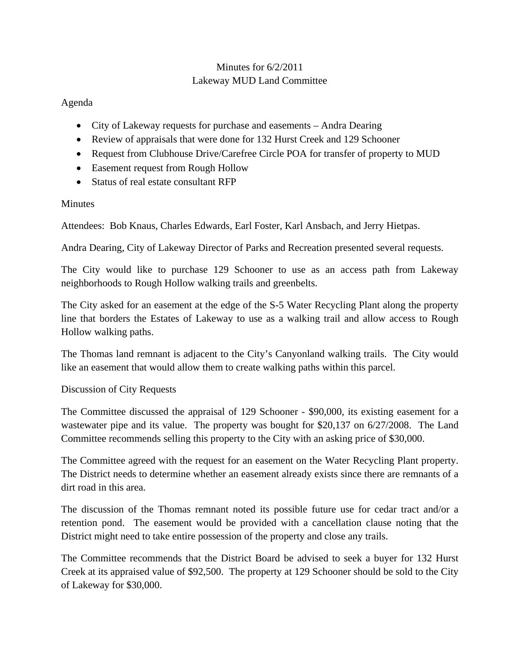## Minutes for 6/2/2011 Lakeway MUD Land Committee

## Agenda

- City of Lakeway requests for purchase and easements Andra Dearing
- Review of appraisals that were done for 132 Hurst Creek and 129 Schooner
- Request from Clubhouse Drive/Carefree Circle POA for transfer of property to MUD
- Easement request from Rough Hollow
- Status of real estate consultant RFP

## **Minutes**

Attendees: Bob Knaus, Charles Edwards, Earl Foster, Karl Ansbach, and Jerry Hietpas.

Andra Dearing, City of Lakeway Director of Parks and Recreation presented several requests.

The City would like to purchase 129 Schooner to use as an access path from Lakeway neighborhoods to Rough Hollow walking trails and greenbelts.

The City asked for an easement at the edge of the S-5 Water Recycling Plant along the property line that borders the Estates of Lakeway to use as a walking trail and allow access to Rough Hollow walking paths.

The Thomas land remnant is adjacent to the City's Canyonland walking trails. The City would like an easement that would allow them to create walking paths within this parcel.

## Discussion of City Requests

The Committee discussed the appraisal of 129 Schooner - \$90,000, its existing easement for a wastewater pipe and its value. The property was bought for \$20,137 on  $6/27/2008$ . The Land Committee recommends selling this property to the City with an asking price of \$30,000.

The Committee agreed with the request for an easement on the Water Recycling Plant property. The District needs to determine whether an easement already exists since there are remnants of a dirt road in this area.

The discussion of the Thomas remnant noted its possible future use for cedar tract and/or a retention pond. The easement would be provided with a cancellation clause noting that the District might need to take entire possession of the property and close any trails.

The Committee recommends that the District Board be advised to seek a buyer for 132 Hurst Creek at its appraised value of \$92,500. The property at 129 Schooner should be sold to the City of Lakeway for \$30,000.